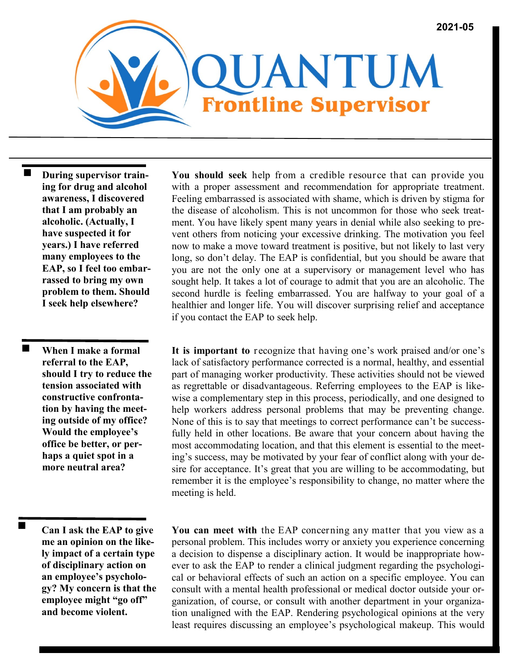

 **During supervisor training for drug and alcohol awareness, I discovered that I am probably an alcoholic. (Actually, I have suspected it for years.) I have referred many employees to the EAP, so I feel too embarrassed to bring my own problem to them. Should I seek help elsewhere?**

 $\blacksquare$ **When I make a formal referral to the EAP, should I try to reduce the tension associated with constructive confrontation by having the meeting outside of my office? Would the employee's office be better, or perhaps a quiet spot in a more neutral area?**

**Can I ask the EAP to give me an opinion on the likely impact of a certain type of disciplinary action on an employee's psychology? My concern is that the employee might "go off" and become violent.**

**You should seek** help from a credible resource that can provide you with a proper assessment and recommendation for appropriate treatment. Feeling embarrassed is associated with shame, which is driven by stigma for the disease of alcoholism. This is not uncommon for those who seek treatment. You have likely spent many years in denial while also seeking to prevent others from noticing your excessive drinking. The motivation you feel now to make a move toward treatment is positive, but not likely to last very long, so don't delay. The EAP is confidential, but you should be aware that you are not the only one at a supervisory or management level who has sought help. It takes a lot of courage to admit that you are an alcoholic. The second hurdle is feeling embarrassed. You are halfway to your goal of a healthier and longer life. You will discover surprising relief and acceptance if you contact the EAP to seek help.

**It is important to** recognize that having one's work praised and/or one's lack of satisfactory performance corrected is a normal, healthy, and essential part of managing worker productivity. These activities should not be viewed as regrettable or disadvantageous. Referring employees to the EAP is likewise a complementary step in this process, periodically, and one designed to help workers address personal problems that may be preventing change. None of this is to say that meetings to correct performance can't be successfully held in other locations. Be aware that your concern about having the most accommodating location, and that this element is essential to the meeting's success, may be motivated by your fear of conflict along with your desire for acceptance. It's great that you are willing to be accommodating, but remember it is the employee's responsibility to change, no matter where the meeting is held.

**You can meet with** the EAP concerning any matter that you view as a personal problem. This includes worry or anxiety you experience concerning a decision to dispense a disciplinary action. It would be inappropriate however to ask the EAP to render a clinical judgment regarding the psychological or behavioral effects of such an action on a specific employee. You can consult with a mental health professional or medical doctor outside your organization, of course, or consult with another department in your organization unaligned with the EAP. Rendering psychological opinions at the very least requires discussing an employee's psychological makeup. This would